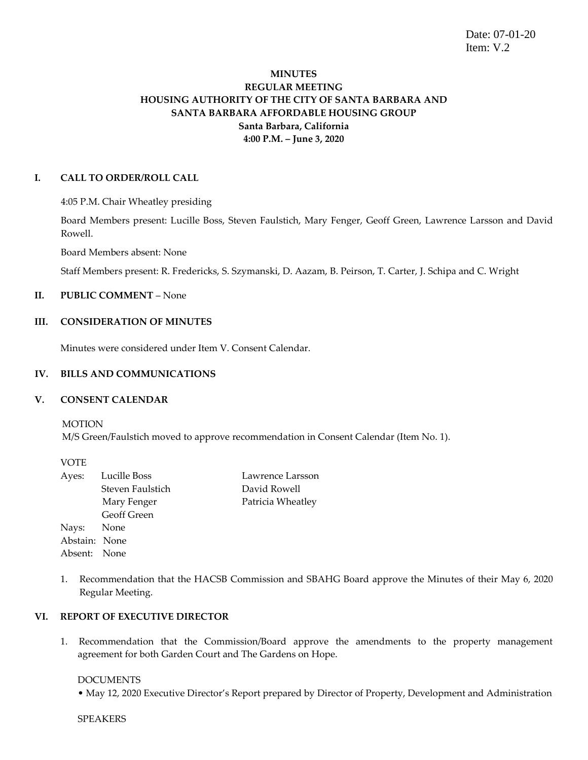Date: 07-01-20 Item: V.2

# **MINUTES REGULAR MEETING HOUSING AUTHORITY OF THE CITY OF SANTA BARBARA AND SANTA BARBARA AFFORDABLE HOUSING GROUP Santa Barbara, California 4:00 P.M. – June 3, 2020**

### **I. CALL TO ORDER/ROLL CALL**

4:05 P.M. Chair Wheatley presiding

Board Members present: Lucille Boss, Steven Faulstich, Mary Fenger, Geoff Green, Lawrence Larsson and David Rowell.

Board Members absent: None

Staff Members present: R. Fredericks, S. Szymanski, D. Aazam, B. Peirson, T. Carter, J. Schipa and C. Wright

# **II. PUBLIC COMMENT** – None

#### **III. CONSIDERATION OF MINUTES**

Minutes were considered under Item V. Consent Calendar.

#### **IV. BILLS AND COMMUNICATIONS**

#### **V. CONSENT CALENDAR**

MOTION M/S Green/Faulstich moved to approve recommendation in Consent Calendar (Item No. 1).

|               | Ayes: Lucille Boss | Lawrence Larsson  |
|---------------|--------------------|-------------------|
|               | Steven Faulstich   | David Rowell      |
|               | Mary Fenger        | Patricia Wheatley |
|               | Geoff Green        |                   |
| Nays: None    |                    |                   |
| Abstain: None |                    |                   |
| Absent: None  |                    |                   |
|               |                    |                   |

1. Recommendation that the HACSB Commission and SBAHG Board approve the Minutes of their May 6, 2020 Regular Meeting.

#### **VI. REPORT OF EXECUTIVE DIRECTOR**

1. Recommendation that the Commission/Board approve the amendments to the property management agreement for both Garden Court and The Gardens on Hope.

### **DOCUMENTS**

• May 12, 2020 Executive Director's Report prepared by Director of Property, Development and Administration

SPEAKERS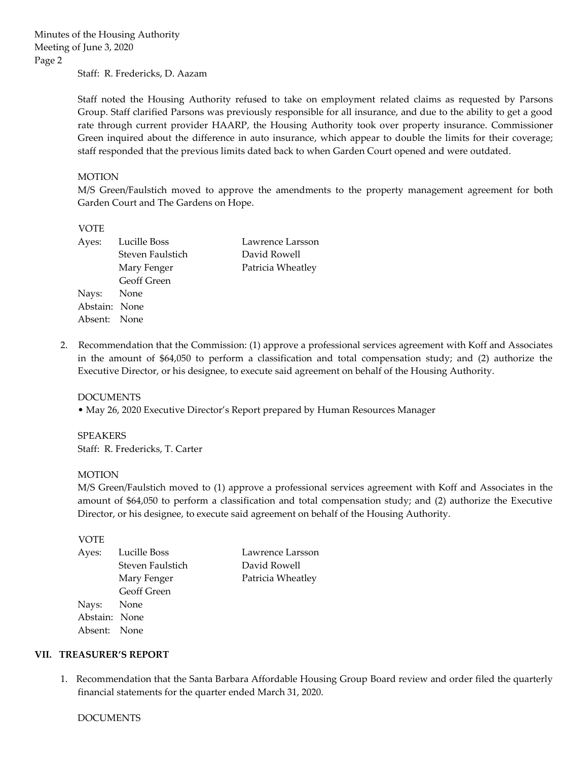Staff: R. Fredericks, D. Aazam

Staff noted the Housing Authority refused to take on employment related claims as requested by Parsons Group. Staff clarified Parsons was previously responsible for all insurance, and due to the ability to get a good rate through current provider HAARP, the Housing Authority took over property insurance. Commissioner Green inquired about the difference in auto insurance, which appear to double the limits for their coverage; staff responded that the previous limits dated back to when Garden Court opened and were outdated.

### MOTION

M/S Green/Faulstich moved to approve the amendments to the property management agreement for both Garden Court and The Gardens on Hope.

#### VOTE

| Ayes:         | Lucille Boss     | Lawrence Larsson  |
|---------------|------------------|-------------------|
|               | Steven Faulstich | David Rowell      |
|               | Mary Fenger      | Patricia Wheatley |
|               | Geoff Green      |                   |
| Nays: None    |                  |                   |
| Abstain: None |                  |                   |
| Absent: None  |                  |                   |

2. Recommendation that the Commission: (1) approve a professional services agreement with Koff and Associates in the amount of \$64,050 to perform a classification and total compensation study; and (2) authorize the Executive Director, or his designee, to execute said agreement on behalf of the Housing Authority.

#### DOCUMENTS

• May 26, 2020 Executive Director's Report prepared by Human Resources Manager

SPEAKERS Staff: R. Fredericks, T. Carter

#### MOTION

M/S Green/Faulstich moved to (1) approve a professional services agreement with Koff and Associates in the amount of \$64,050 to perform a classification and total compensation study; and (2) authorize the Executive Director, or his designee, to execute said agreement on behalf of the Housing Authority.

VOTE

| Lawrence Larsson  |
|-------------------|
| David Rowell      |
| Patricia Wheatley |
|                   |
|                   |
|                   |
|                   |
|                   |

#### **VII. TREASURER'S REPORT**

1.Recommendation that the Santa Barbara Affordable Housing Group Board review and order filed the quarterly financial statements for the quarter ended March 31, 2020.

#### DOCUMENTS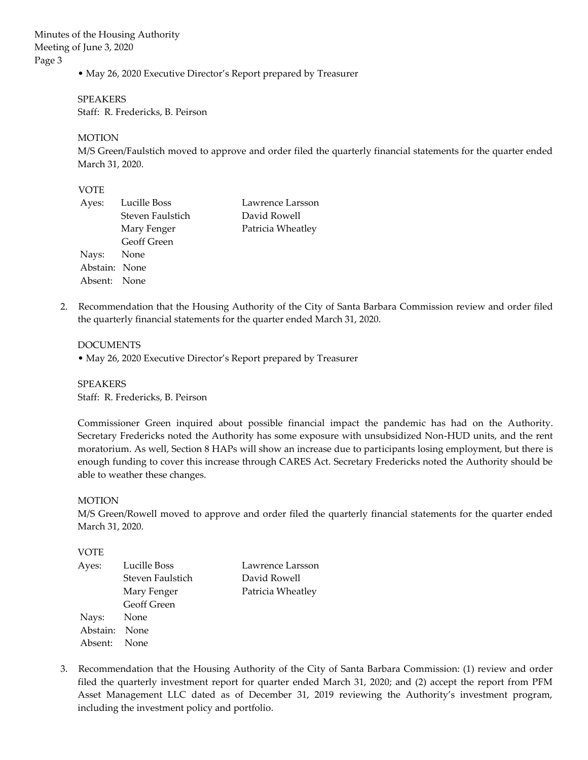• May 26, 2020 Executive Director's Report prepared by Treasurer

SPEAKERS Staff: R. Fredericks, B. Peirson

MOTION

M/S Green/Faulstich moved to approve and order filed the quarterly financial statements for the quarter ended March 31, 2020.

## VOTE

| Ayes:         | Lucille Boss       | Lawrence Larsson  |
|---------------|--------------------|-------------------|
|               | Steven Faulstich   | David Rowell      |
|               | Mary Fenger        | Patricia Wheatley |
|               | <b>Geoff Green</b> |                   |
| Nays: None    |                    |                   |
| Abstain: None |                    |                   |
| Absent: None  |                    |                   |

2. Recommendation that the Housing Authority of the City of Santa Barbara Commission review and order filed the quarterly financial statements for the quarter ended March 31, 2020.

DOCUMENTS

• May 26, 2020 Executive Director's Report prepared by Treasurer

SPEAKERS Staff: R. Fredericks, B. Peirson

Commissioner Green inquired about possible financial impact the pandemic has had on the Authority. Secretary Fredericks noted the Authority has some exposure with unsubsidized Non-HUD units, and the rent moratorium. As well, Section 8 HAPs will show an increase due to participants losing employment, but there is enough funding to cover this increase through CARES Act. Secretary Fredericks noted the Authority should be able to weather these changes.

### MOTION

M/S Green/Rowell moved to approve and order filed the quarterly financial statements for the quarter ended March 31, 2020.

#### VOTE

| Ayes:         | Lucille Boss     | Lawrence Larsson  |
|---------------|------------------|-------------------|
|               | Steven Faulstich | David Rowell      |
|               | Mary Fenger      | Patricia Wheatley |
|               | Geoff Green      |                   |
| Nays: None    |                  |                   |
| Abstain: None |                  |                   |
| Absent: None  |                  |                   |

3. Recommendation that the Housing Authority of the City of Santa Barbara Commission: (1) review and order filed the quarterly investment report for quarter ended March 31, 2020; and (2) accept the report from PFM Asset Management LLC dated as of December 31, 2019 reviewing the Authority's investment program, including the investment policy and portfolio.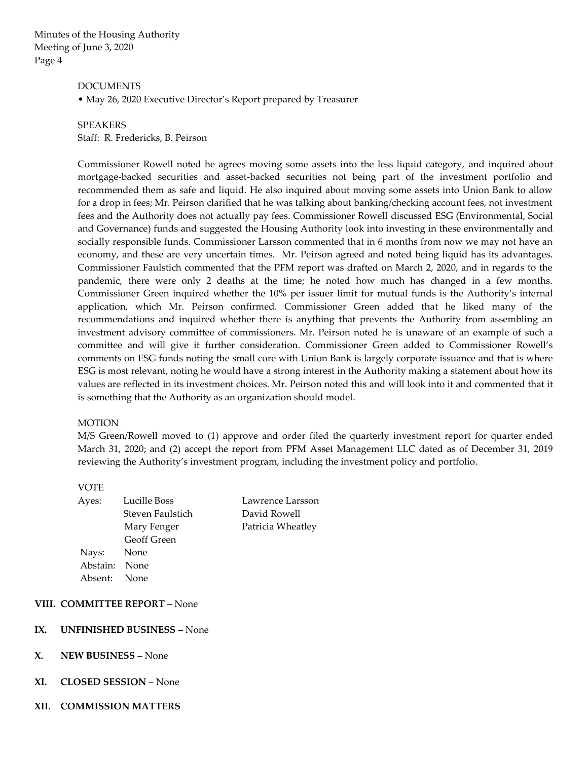#### DOCUMENTS

• May 26, 2020 Executive Director's Report prepared by Treasurer

# SPEAKERS Staff: R. Fredericks, B. Peirson

Commissioner Rowell noted he agrees moving some assets into the less liquid category, and inquired about mortgage-backed securities and asset-backed securities not being part of the investment portfolio and recommended them as safe and liquid. He also inquired about moving some assets into Union Bank to allow for a drop in fees; Mr. Peirson clarified that he was talking about banking/checking account fees, not investment fees and the Authority does not actually pay fees. Commissioner Rowell discussed ESG (Environmental, Social and Governance) funds and suggested the Housing Authority look into investing in these environmentally and socially responsible funds. Commissioner Larsson commented that in 6 months from now we may not have an economy, and these are very uncertain times. Mr. Peirson agreed and noted being liquid has its advantages. Commissioner Faulstich commented that the PFM report was drafted on March 2, 2020, and in regards to the pandemic, there were only 2 deaths at the time; he noted how much has changed in a few months. Commissioner Green inquired whether the 10% per issuer limit for mutual funds is the Authority's internal application, which Mr. Peirson confirmed. Commissioner Green added that he liked many of the recommendations and inquired whether there is anything that prevents the Authority from assembling an investment advisory committee of commissioners. Mr. Peirson noted he is unaware of an example of such a committee and will give it further consideration. Commissioner Green added to Commissioner Rowell's comments on ESG funds noting the small core with Union Bank is largely corporate issuance and that is where ESG is most relevant, noting he would have a strong interest in the Authority making a statement about how its values are reflected in its investment choices. Mr. Peirson noted this and will look into it and commented that it is something that the Authority as an organization should model.

#### MOTION

M/S Green/Rowell moved to (1) approve and order filed the quarterly investment report for quarter ended March 31, 2020; and (2) accept the report from PFM Asset Management LLC dated as of December 31, 2019 reviewing the Authority's investment program, including the investment policy and portfolio.

#### VOTE

| Ayes:    | Lucille Boss       |
|----------|--------------------|
|          | Steven Faulstich   |
|          | Mary Fenger        |
|          | <b>Geoff Green</b> |
| Nays:    | None               |
| Abstain: | None               |
| Absent:  | None               |
|          |                    |

Lawrence Larsson David Rowell Patricia Wheatley

## **VIII. COMMITTEE REPORT** – None

#### **IX. UNFINISHED BUSINESS** – None

## **X. NEW BUSINESS** – None

- **XI. CLOSED SESSION** None
- **XII. COMMISSION MATTERS**